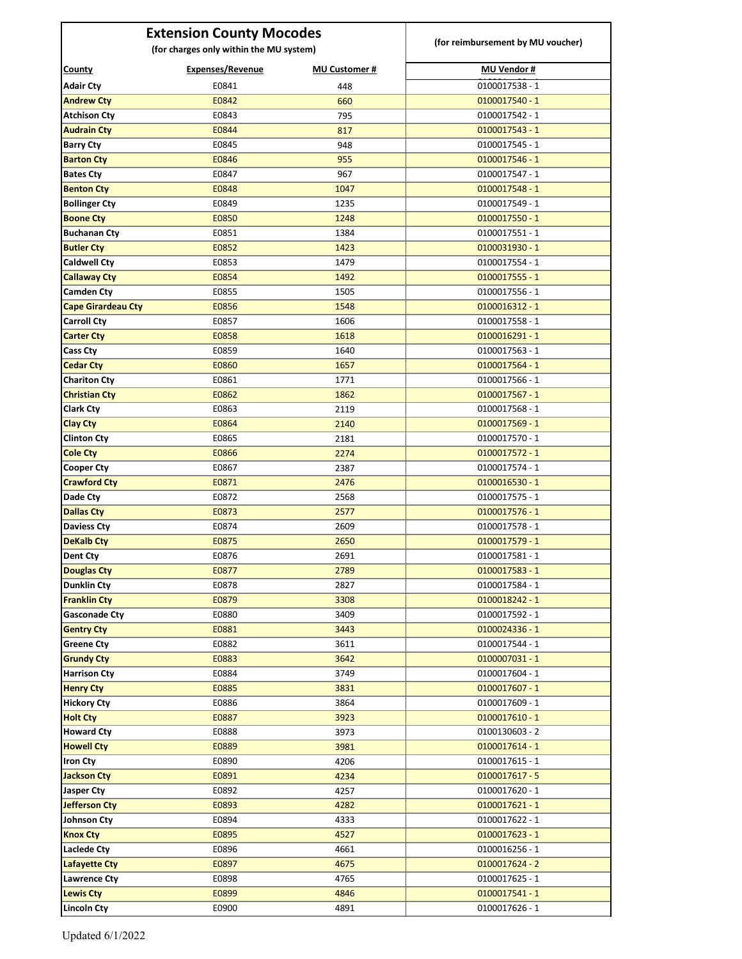| <b>Extension County Mocodes</b>         |                  |                      |                                    |
|-----------------------------------------|------------------|----------------------|------------------------------------|
| (for charges only within the MU system) |                  |                      | (for reimbursement by MU voucher)  |
| <b>County</b>                           | Expenses/Revenue | <b>MU Customer #</b> | <b>MU Vendor #</b>                 |
| <b>Adair Cty</b>                        | E0841            | 448                  | 0100017538 - 1                     |
| <b>Andrew Cty</b>                       | E0842            | 660                  | 0100017540 - 1                     |
| <b>Atchison Cty</b>                     | E0843            | 795                  | 0100017542 - 1                     |
| <b>Audrain Cty</b>                      | E0844            | 817                  | $0100017543 - 1$                   |
| <b>Barry Cty</b>                        | E0845            | 948                  | 0100017545 - 1                     |
| <b>Barton Cty</b>                       | E0846            | 955                  | $0100017546 - 1$                   |
| <b>Bates Cty</b>                        | E0847            | 967                  | 0100017547 - 1                     |
| <b>Benton Cty</b>                       | E0848            | 1047                 | $0100017548 - 1$                   |
| <b>Bollinger Cty</b>                    | E0849            | 1235                 | 0100017549 - 1                     |
| <b>Boone Cty</b>                        | E0850            | 1248                 | $0100017550 - 1$                   |
| <b>Buchanan Cty</b>                     | E0851            | 1384                 | 0100017551 - 1                     |
| <b>Butler Cty</b>                       | E0852            | 1423                 | $0100031930 - 1$                   |
| <b>Caldwell Cty</b>                     | E0853            | 1479                 | 0100017554 - 1                     |
| <b>Callaway Cty</b>                     | E0854            | 1492                 | $0100017555 - 1$                   |
| <b>Camden Cty</b>                       | E0855            | 1505                 | 0100017556 - 1                     |
| <b>Cape Girardeau Cty</b>               | E0856            | 1548                 | $0100016312 - 1$                   |
| <b>Carroll Cty</b>                      | E0857            | 1606                 | 0100017558 - 1                     |
| <b>Carter Cty</b>                       | E0858            | 1618                 | $0100016291 - 1$                   |
| Cass Cty                                | E0859            | 1640                 | 0100017563 - 1                     |
| <b>Cedar Cty</b>                        | E0860            | 1657                 | $0100017564 - 1$                   |
| <b>Chariton Cty</b>                     | E0861            | 1771                 | 0100017566 - 1                     |
| <b>Christian Cty</b>                    | E0862            | 1862                 | $0100017567 - 1$                   |
| <b>Clark Cty</b>                        | E0863            | 2119                 | 0100017568 - 1                     |
| <b>Clay Cty</b>                         | E0864            | 2140                 | $0100017569 - 1$                   |
| <b>Clinton Cty</b>                      | E0865            | 2181                 | 0100017570 - 1                     |
| <b>Cole Cty</b>                         | E0866            | 2274                 | $0100017572 - 1$                   |
| <b>Cooper Cty</b>                       | E0867            | 2387                 | 0100017574 - 1                     |
| <b>Crawford Cty</b>                     | E0871            | 2476                 | $0100016530 - 1$                   |
| <b>Dade Ctv</b>                         | E0872            | 2568                 | 0100017575 - 1                     |
| <b>Dallas Cty</b>                       | E0873            | 2577                 | $0100017576 - 1$                   |
| <b>Daviess Cty</b>                      | E0874            | 2609                 | 0100017578 - 1                     |
| <b>DeKalb Cty</b>                       | E0875            | 2650                 | $0100017579 - 1$                   |
| <b>Dent Cty</b>                         | E0876            | 2691                 | 0100017581 - 1                     |
| <b>Douglas Cty</b>                      | E0877            | 2789                 | $0100017583 - 1$                   |
| <b>Dunklin Cty</b>                      | E0878            | 2827                 | 0100017584 - 1                     |
| <b>Franklin Cty</b>                     | E0879            | 3308                 | $0100018242 - 1$                   |
| Gasconade Cty                           | E0880            | 3409                 | 0100017592 - 1                     |
| <b>Gentry Cty</b>                       | E0881            | 3443                 | $0100024336 - 1$                   |
| <b>Greene Cty</b><br><b>Grundy Cty</b>  | E0882<br>E0883   | 3611                 | 0100017544 - 1<br>$0100007031 - 1$ |
| <b>Harrison Cty</b>                     | E0884            | 3642<br>3749         | 0100017604 - 1                     |
| <b>Henry Cty</b>                        | E0885            | 3831                 | $0100017607 - 1$                   |
| <b>Hickory Cty</b>                      | E0886            | 3864                 | 0100017609 - 1                     |
| <b>Holt Cty</b>                         | E0887            | 3923                 | $0100017610 - 1$                   |
| <b>Howard Cty</b>                       | E0888            | 3973                 | 0100130603 - 2                     |
| <b>Howell Cty</b>                       | E0889            | 3981                 | $0100017614 - 1$                   |
| <b>Iron Cty</b>                         | E0890            | 4206                 | 0100017615 - 1                     |
| <b>Jackson Cty</b>                      | E0891            | 4234                 | $0100017617 - 5$                   |
| Jasper Cty                              | E0892            | 4257                 | 0100017620 - 1                     |
| <b>Jefferson Cty</b>                    | E0893            | 4282                 | $0100017621 - 1$                   |
| Johnson Cty                             | E0894            | 4333                 | 0100017622 - 1                     |
| <b>Knox Cty</b>                         | E0895            | 4527                 | $0100017623 - 1$                   |
| Laclede Cty                             | E0896            | 4661                 | 0100016256 - 1                     |
| <b>Lafayette Cty</b>                    | E0897            | 4675                 | 0100017624 - 2                     |
| Lawrence Cty                            | E0898            | 4765                 | 0100017625 - 1                     |
| <b>Lewis Cty</b>                        | E0899            | 4846                 | $0100017541 - 1$                   |
| <b>Lincoln Cty</b>                      | E0900            | 4891                 | $0100017626 - 1$                   |